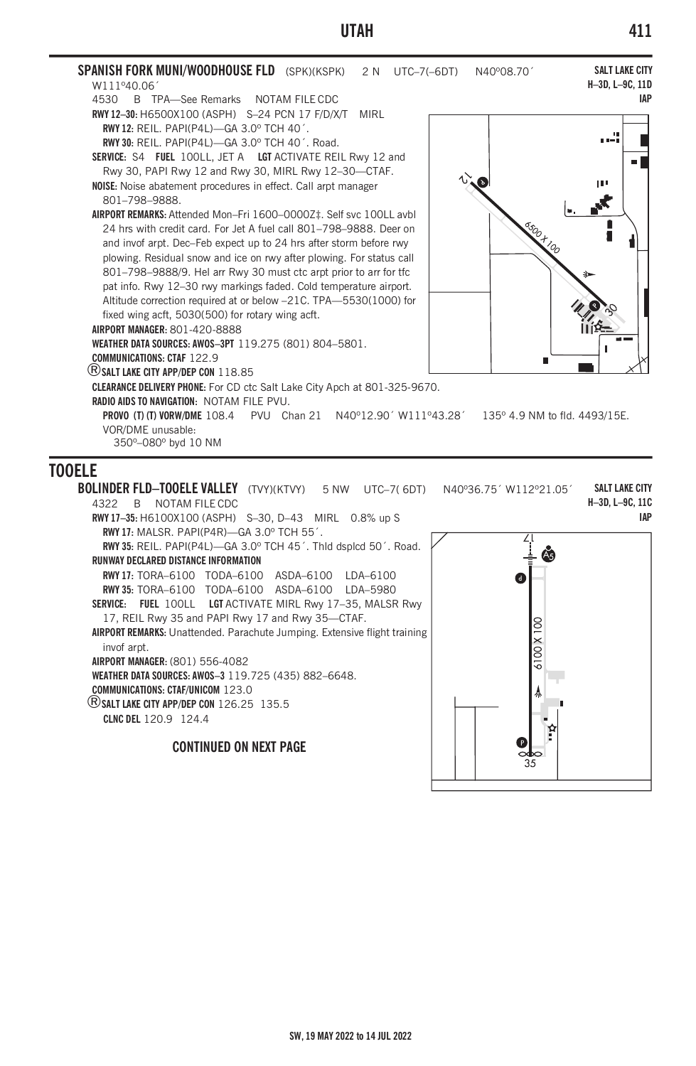

4322 B NOTAM FILE CDC **RWY 17–35:** H6100X100 (ASPH) S–30, D–43 MIRL 0.8% up S **RWY 17:** MALSR. PAPI(P4R)—GA 3.0º TCH 55´. **RWY 35:** REIL. PAPI(P4L)—GA 3.0º TCH 45´. Thld dsplcd 50´. Road. **RUNWAY DECLARED DISTANCE INFORMATION RWY 17:** TORA–6100 TODA–6100 ASDA–6100 LDA–6100 **RWY 35:** TORA–6100 TODA–6100 ASDA–6100 LDA–5980 **SERVICE: FUEL** 100LL **LGT** ACTIVATE MIRL Rwy 17–35, MALSR Rwy 17, REIL Rwy 35 and PAPI Rwy 17 and Rwy 35—CTAF. **AIRPORT REMARKS:** Unattended. Parachute Jumping. Extensive flight training invof arpt. **AIRPORT MANAGER:** (801) 556-4082 **WEATHER DATA SOURCES: AWOS–3** 119.725 (435) 882–6648. **COMMUNICATIONS: CTAF/UNICOM** 123.0 ®**SALT LAKE CITY APP/DEP CON** 126.25 135.5 **CLNC DEL** 120.9 124.4

**CONTINUED ON NEXT PAGE**



**H–3D, L–9C, 11C IAP**